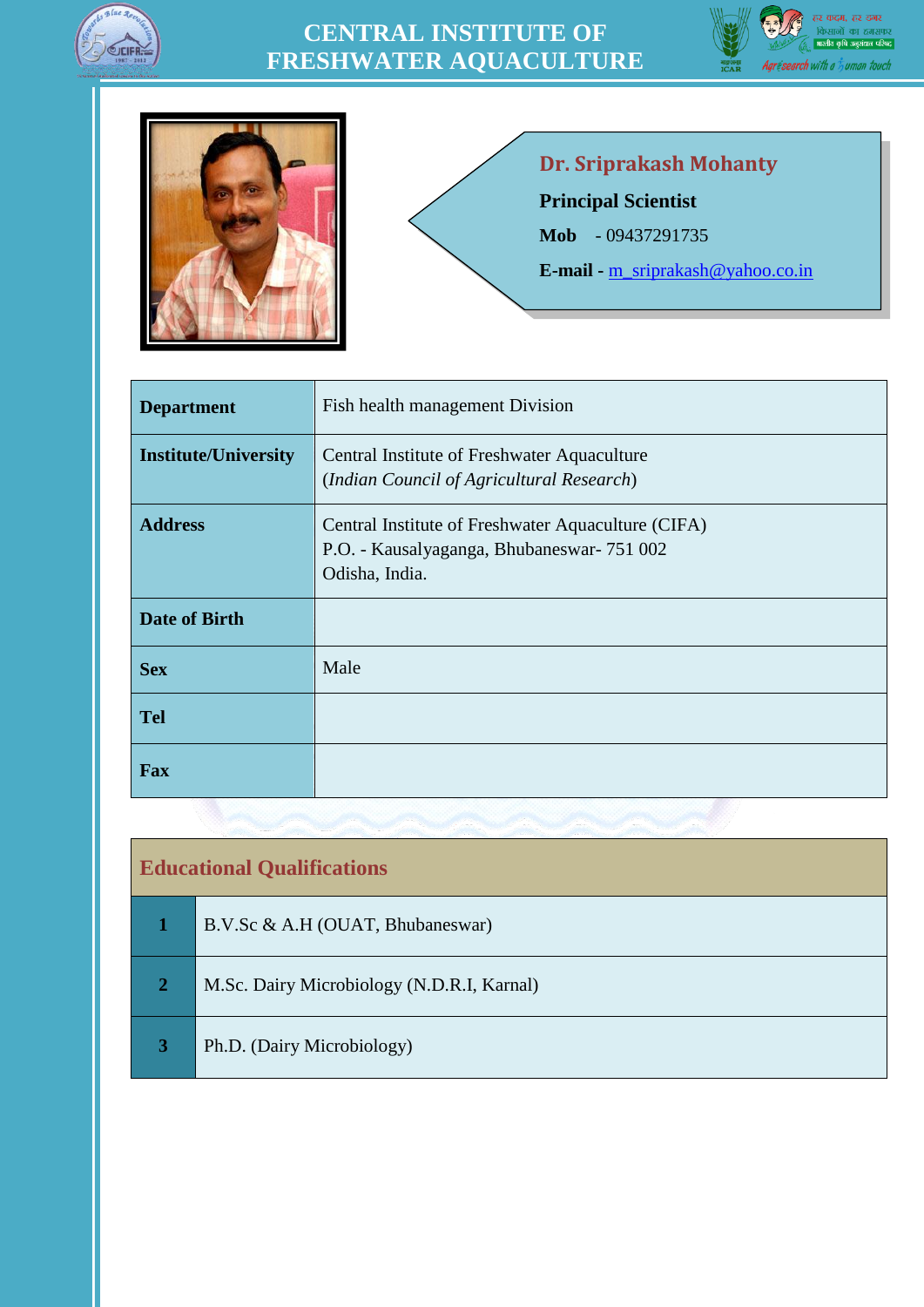

## **CENTRAL INSTITUTE OF FRESHWATER AQUACULTURE**





## **Dr. Sriprakash Mohanty**

**Principal Scientist**

**Mob** - 09437291735

**E-mail -** [m\\_sriprakash@yahoo.co.in](m_sriprakash@yahoo.co.in)

| <b>Department</b>           | Fish health management Division                                                                                    |  |  |  |  |
|-----------------------------|--------------------------------------------------------------------------------------------------------------------|--|--|--|--|
| <b>Institute/University</b> | Central Institute of Freshwater Aquaculture<br>(Indian Council of Agricultural Research)                           |  |  |  |  |
| <b>Address</b>              | Central Institute of Freshwater Aquaculture (CIFA)<br>P.O. - Kausalyaganga, Bhubaneswar- 751 002<br>Odisha, India. |  |  |  |  |
| <b>Date of Birth</b>        |                                                                                                                    |  |  |  |  |
| <b>Sex</b>                  | Male                                                                                                               |  |  |  |  |
| <b>Tel</b>                  |                                                                                                                    |  |  |  |  |
| Fax                         |                                                                                                                    |  |  |  |  |

| <b>Educational Qualifications</b> |                                            |  |  |
|-----------------------------------|--------------------------------------------|--|--|
|                                   | B.V.Sc & A.H (OUAT, Bhubaneswar)           |  |  |
| $\overline{2}$                    | M.Sc. Dairy Microbiology (N.D.R.I, Karnal) |  |  |
| 3                                 | Ph.D. (Dairy Microbiology)                 |  |  |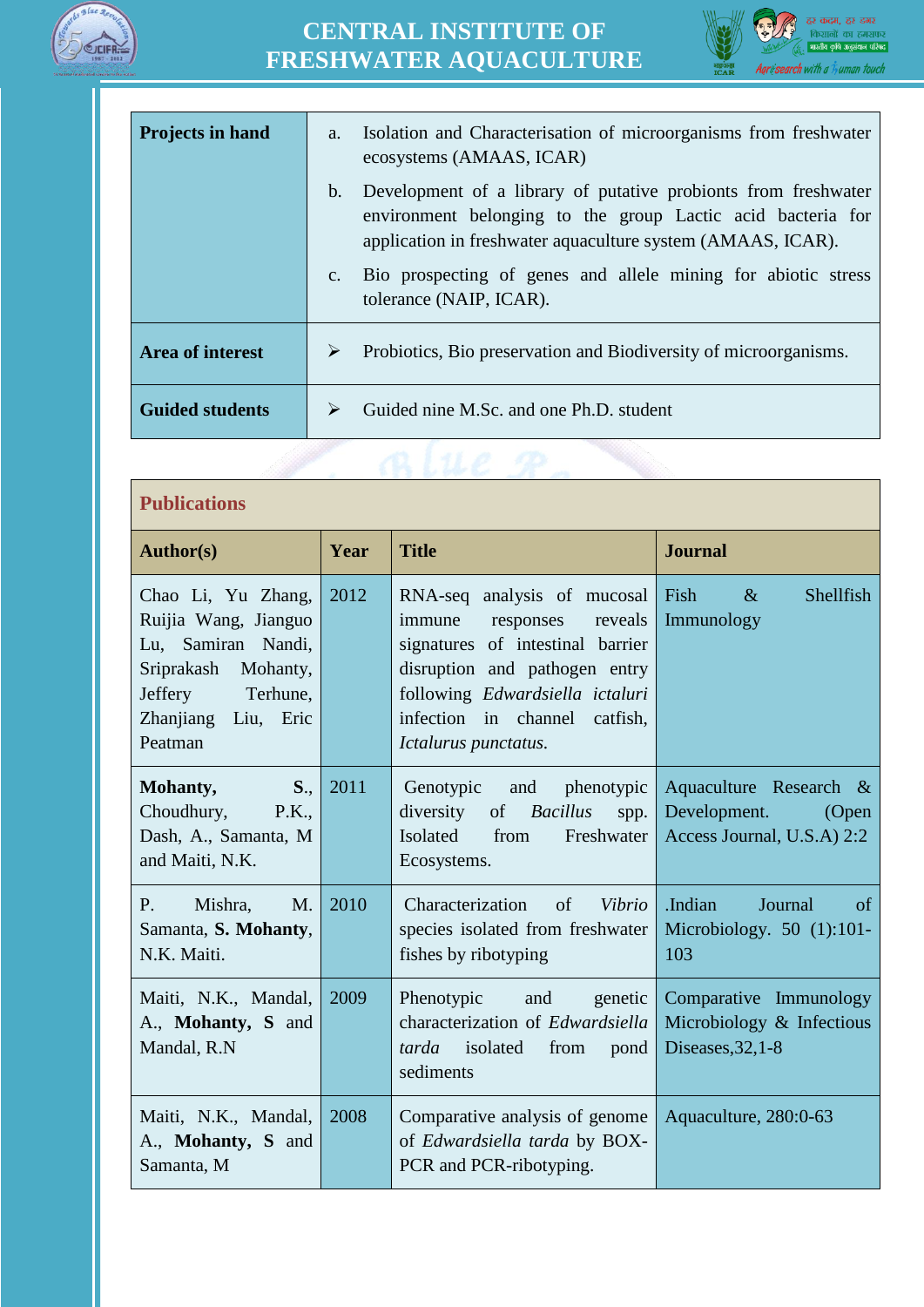

## **CENTRAL INSTITUTE OF FRESHWATER AQUACULTURE**



| <b>Projects in hand</b> | Isolation and Characterisation of microorganisms from freshwater<br>a.<br>ecosystems (AMAAS, ICAR)                                                                                                             |  |  |  |
|-------------------------|----------------------------------------------------------------------------------------------------------------------------------------------------------------------------------------------------------------|--|--|--|
|                         | Development of a library of putative probionts from freshwater<br>$\mathbf{b}$ .<br>environment belonging to the group Lactic acid bacteria for<br>application in freshwater aquaculture system (AMAAS, ICAR). |  |  |  |
|                         | Bio prospecting of genes and allele mining for abiotic stress<br>$C_{\bullet}$<br>tolerance (NAIP, ICAR).                                                                                                      |  |  |  |
| <b>Area of interest</b> | Probiotics, Bio preservation and Biodiversity of microorganisms.<br>➤                                                                                                                                          |  |  |  |
| <b>Guided students</b>  | Guided nine M.Sc. and one Ph.D. student<br>⋗                                                                                                                                                                   |  |  |  |

| <b>Publications</b>                                                                                                                              |      |                                                                                                                                                                                                                                |                                                                               |  |  |
|--------------------------------------------------------------------------------------------------------------------------------------------------|------|--------------------------------------------------------------------------------------------------------------------------------------------------------------------------------------------------------------------------------|-------------------------------------------------------------------------------|--|--|
| <b>Author(s)</b>                                                                                                                                 | Year | <b>Title</b>                                                                                                                                                                                                                   | <b>Journal</b>                                                                |  |  |
| Chao Li, Yu Zhang,<br>Ruijia Wang, Jianguo<br>Lu, Samiran Nandi,<br>Sriprakash Mohanty,<br>Jeffery<br>Terhune,<br>Zhanjiang Liu, Eric<br>Peatman | 2012 | RNA-seq analysis of mucosal<br>immune<br>responses<br>reveals<br>signatures of intestinal barrier<br>disruption and pathogen entry<br>following Edwardsiella ictaluri<br>infection in channel catfish,<br>Ictalurus punctatus. | Fish<br>$\&$<br>Shellfish<br>Immunology                                       |  |  |
| Mohanty,<br>$S_{\cdot \cdot}$<br>Choudhury,<br>P.K.,<br>Dash, A., Samanta, M<br>and Maiti, N.K.                                                  | 2011 | Genotypic and<br>phenotypic<br>diversity<br><b>Bacillus</b><br>of<br>spp.<br>Isolated<br>Freshwater<br>from<br>Ecosystems.                                                                                                     | Aquaculture Research &<br>Development.<br>(Open<br>Access Journal, U.S.A) 2:2 |  |  |
| Mishra.<br>P.<br>$M_{\cdot}$<br>Samanta, S. Mohanty,<br>N.K. Maiti.                                                                              | 2010 | $\sigma$<br>Vibrio<br>Characterization<br>species isolated from freshwater<br>fishes by ribotyping                                                                                                                             | .Indian<br>Journal<br>of<br>Microbiology. 50 (1):101-<br>103                  |  |  |
| Maiti, N.K., Mandal,<br>A., Mohanty, S and<br>Mandal, R.N                                                                                        | 2009 | Phenotypic and<br>genetic<br>characterization of Edwardsiella<br><i>tarda</i> isolated<br>from<br>pond<br>sediments                                                                                                            | Comparative Immunology<br>Microbiology & Infectious<br>Diseases, 32, 1-8      |  |  |
| Maiti, N.K., Mandal,<br>A., Mohanty, S and<br>Samanta, M                                                                                         | 2008 | Comparative analysis of genome<br>of Edwardsiella tarda by BOX-<br>PCR and PCR-ribotyping.                                                                                                                                     | Aquaculture, 280:0-63                                                         |  |  |